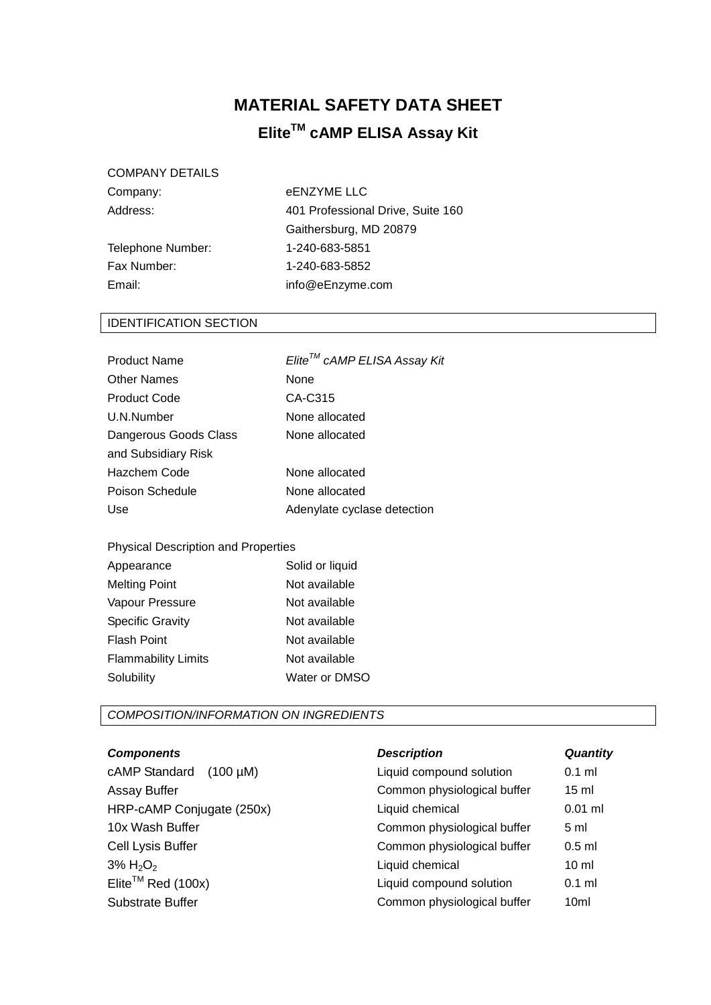## **MATERIAL SAFETY DATA SHEET EliteTM cAMP ELISA Assay Kit**

#### COMPANY DETAILS

Telephone Number: 1-240-683-5851 Fax Number: 1-240-683-5852 Email: info@eEnzyme.com

# Company: eENZYME LLC Address: 401 Professional Drive, Suite 160 Gaithersburg, MD 20879

### IDENTIFICATION SECTION

| Product Name          | Elite™ cAMP ELISA Assay Kit |
|-----------------------|-----------------------------|
| Other Names           | None                        |
| Product Code          | CA-C315                     |
| U.N.Number            | None allocated              |
| Dangerous Goods Class | None allocated              |
| and Subsidiary Risk   |                             |
| Hazchem Code          | None allocated              |
| Poison Schedule       | None allocated              |
| Use                   | Adenylate cyclase detection |
|                       |                             |

#### Physical Description and Properties

| Appearance                 | Solid or liquid |
|----------------------------|-----------------|
| <b>Melting Point</b>       | Not available   |
| Vapour Pressure            | Not available   |
| <b>Specific Gravity</b>    | Not available   |
| <b>Flash Point</b>         | Not available   |
| <b>Flammability Limits</b> | Not available   |
| Solubility                 | Water or DMSO   |

#### *COMPOSITION/INFORMATION ON INGREDIENTS*

| <b>Components</b>              | <b>Description</b>          | Quantity         |
|--------------------------------|-----------------------------|------------------|
| cAMP Standard<br>$(100 \mu M)$ | Liquid compound solution    | $0.1$ ml         |
| Assay Buffer                   | Common physiological buffer | $15 \text{ ml}$  |
| HRP-cAMP Conjugate (250x)      | Liquid chemical             | $0.01$ ml        |
| 10x Wash Buffer                | Common physiological buffer | 5 <sub>m</sub>   |
| Cell Lysis Buffer              | Common physiological buffer | $0.5$ ml         |
| $3\% H_2O_2$                   | Liquid chemical             | $10 \mathrm{m}$  |
| Elite <sup>TM</sup> Red (100x) | Liquid compound solution    | $0.1$ ml         |
| Substrate Buffer               | Common physiological buffer | 10 <sub>ml</sub> |
|                                |                             |                  |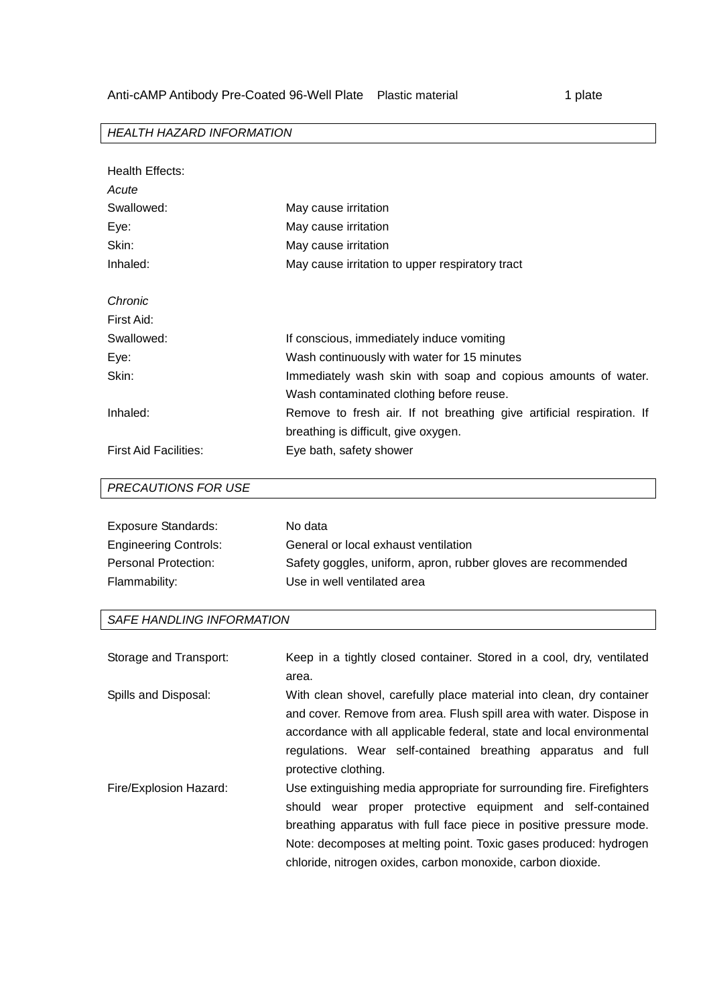1 plate

#### *HEALTH HAZARD INFORMATION*

| Health Effects:              |                                                                       |
|------------------------------|-----------------------------------------------------------------------|
| Acute                        |                                                                       |
| Swallowed:                   | May cause irritation                                                  |
| Eye:                         | May cause irritation                                                  |
| Skin:                        | May cause irritation                                                  |
| Inhaled:                     | May cause irritation to upper respiratory tract                       |
| Chronic                      |                                                                       |
| First Aid:                   |                                                                       |
| Swallowed:                   | If conscious, immediately induce vomiting                             |
| Eye:                         | Wash continuously with water for 15 minutes                           |
| Skin:                        | Immediately wash skin with soap and copious amounts of water.         |
|                              | Wash contaminated clothing before reuse.                              |
| Inhaled:                     | Remove to fresh air. If not breathing give artificial respiration. If |
|                              | breathing is difficult, give oxygen.                                  |
| <b>First Aid Facilities:</b> | Eye bath, safety shower                                               |

#### *PRECAUTIONS FOR USE*

| <b>Exposure Standards:</b>   | No data                                                       |
|------------------------------|---------------------------------------------------------------|
| <b>Engineering Controls:</b> | General or local exhaust ventilation                          |
| <b>Personal Protection:</b>  | Safety goggles, uniform, apron, rubber gloves are recommended |
| Flammability:                | Use in well ventilated area                                   |

#### *SAFE HANDLING INFORMATION*

| Storage and Transport: | Keep in a tightly closed container. Stored in a cool, dry, ventilated<br>area.                                                                                                                                                                                                                                                                        |
|------------------------|-------------------------------------------------------------------------------------------------------------------------------------------------------------------------------------------------------------------------------------------------------------------------------------------------------------------------------------------------------|
| Spills and Disposal:   | With clean shovel, carefully place material into clean, dry container<br>and cover. Remove from area. Flush spill area with water. Dispose in<br>accordance with all applicable federal, state and local environmental<br>regulations. Wear self-contained breathing apparatus and full<br>protective clothing.                                       |
| Fire/Explosion Hazard: | Use extinguishing media appropriate for surrounding fire. Firefighters<br>proper protective equipment and self-contained<br>should<br>wear<br>breathing apparatus with full face piece in positive pressure mode.<br>Note: decomposes at melting point. Toxic gases produced: hydrogen<br>chloride, nitrogen oxides, carbon monoxide, carbon dioxide. |